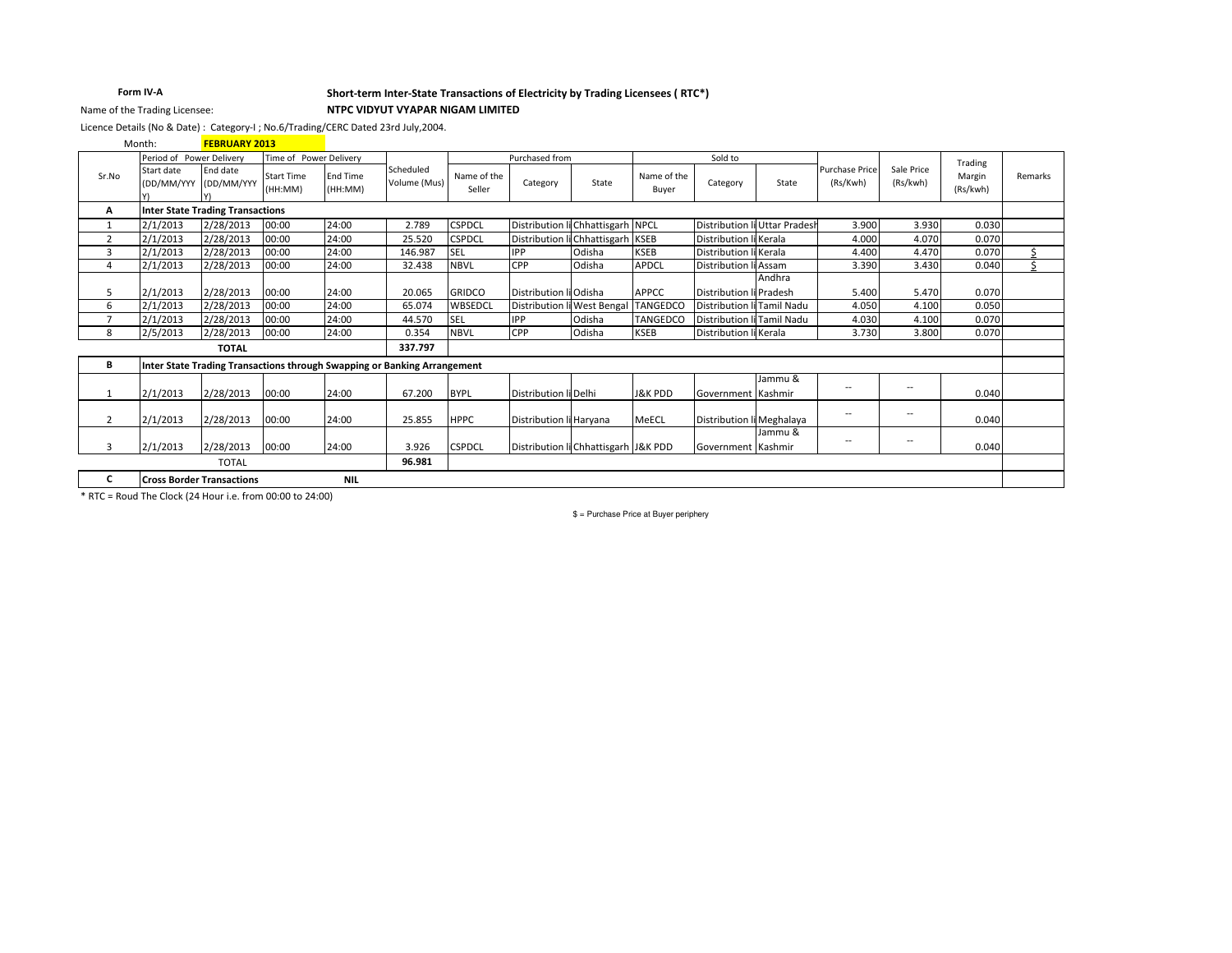## Form IV-A Name of the Trading Licensee:

### Short-term Inter-State Transactions of Electricity by Trading Licensees (RTC\*)

NTPC VIDYUT VYAPAR NIGAM LIMITED

Licence Details (No & Date): Category-I; No.6/Trading/CERC Dated 23rd July,2004.

|                | Month:                                         | <b>FEBRUARY 2013</b>                    |                              |                            |                                                                          |                       |                                      |                                      |                      |                            |                               |                                   |                          |                    |         |
|----------------|------------------------------------------------|-----------------------------------------|------------------------------|----------------------------|--------------------------------------------------------------------------|-----------------------|--------------------------------------|--------------------------------------|----------------------|----------------------------|-------------------------------|-----------------------------------|--------------------------|--------------------|---------|
|                | Period of Power Delivery                       |                                         | Time of Power Delivery       |                            |                                                                          |                       | Purchased from                       |                                      |                      | Sold to                    |                               |                                   |                          | Trading            |         |
| Sr.No          | Start date<br>(DD/MM/YYY (DD/MM/YYY            | End date                                | <b>Start Time</b><br>(HH:MM) | <b>End Time</b><br>(HH:MM) | Scheduled<br>Volume (Mus)                                                | Name of the<br>Seller | Category                             | State                                | Name of the<br>Buyer | Category                   | State                         | <b>Purchase Price</b><br>(Rs/Kwh) | Sale Price<br>(Rs/kwh)   | Margin<br>(Rs/kwh) | Remarks |
| А              |                                                | <b>Inter State Trading Transactions</b> |                              |                            |                                                                          |                       |                                      |                                      |                      |                            |                               |                                   |                          |                    |         |
| 1              | 2/1/2013                                       | 2/28/2013                               | 00:00                        | 24:00                      | 2.789                                                                    | <b>CSPDCL</b>         | Distribution li Chhattisgarh NPCL    |                                      |                      |                            | Distribution li Uttar Pradesh | 3.900                             | 3.930                    | 0.030              |         |
| $\overline{2}$ | 2/1/2013                                       | 2/28/2013                               | 00:00                        | 24:00                      | 25.520                                                                   | <b>CSPDCL</b>         | Distribution li Chhattisgarh KSEB    |                                      |                      | Distribution li Kerala     |                               | 4.000                             | 4.070                    | 0.070              |         |
| 3              | 2/1/2013                                       | 2/28/2013                               | 00:00                        | 24:00                      | 146.987                                                                  | <b>SEL</b>            | <b>IPP</b>                           | Odisha                               | <b>KSEB</b>          | Distribution li Kerala     |                               | 4.400                             | 4.470                    | 0.070              |         |
| $\overline{4}$ | 2/1/2013                                       | 2/28/2013                               | 00:00                        | 24:00                      | 32.438                                                                   | <b>NBVL</b>           | <b>CPP</b>                           | Odisha                               | <b>APDCL</b>         | Distribution li Assam      |                               | 3.390                             | 3.430                    | 0.040              | \$      |
|                |                                                |                                         |                              |                            |                                                                          |                       |                                      |                                      |                      |                            | Andhra                        |                                   |                          |                    |         |
| 5              | 2/1/2013                                       | 2/28/2013                               | 00:00                        | 24:00                      | 20.065                                                                   | <b>GRIDCO</b>         | Distribution li Odisha               |                                      | APPCC                | Distribution li Pradesh    |                               | 5.400                             | 5.470                    | 0.070              |         |
| 6              | 2/1/2013                                       | 2/28/2013                               | 00:00                        | 24:00                      | 65.074                                                                   | WBSEDCL               |                                      | Distribution li West Bengal TANGEDCO |                      | Distribution li Tamil Nadu |                               | 4.050                             | 4.100                    | 0.050              |         |
| $\overline{ }$ | 2/1/2013                                       | 2/28/2013                               | 00:00                        | 24:00                      | 44.570                                                                   | <b>SEL</b>            | <b>IPP</b>                           | Odisha                               | <b>TANGEDCO</b>      | Distribution li Tamil Nadu |                               | 4.030                             | 4.100                    | 0.070              |         |
| 8              | 2/5/2013                                       | 2/28/2013                               | 00:00                        | 24:00                      | 0.354                                                                    | <b>NBVL</b>           | <b>CPP</b>                           | Odisha                               | <b>KSEB</b>          | Distribution li Kerala     |                               | 3.730                             | 3.800                    | 0.070              |         |
|                |                                                | <b>TOTAL</b>                            |                              |                            | 337.797                                                                  |                       |                                      |                                      |                      |                            |                               |                                   |                          |                    |         |
| В              |                                                |                                         |                              |                            | Inter State Trading Transactions through Swapping or Banking Arrangement |                       |                                      |                                      |                      |                            |                               |                                   |                          |                    |         |
|                |                                                |                                         |                              |                            |                                                                          |                       |                                      |                                      |                      |                            | Jammu &                       |                                   |                          |                    |         |
| $\mathbf{1}$   | 2/1/2013                                       | 2/28/2013                               | 00:00                        | 24:00                      | 67.200                                                                   | <b>BYPL</b>           | Distribution li Delhi                |                                      | <b>J&amp;K PDD</b>   | Government Kashmir         |                               | --                                | --                       | 0.040              |         |
| $\overline{2}$ | 2/1/2013                                       | 2/28/2013                               | 00:00                        | 24:00                      | 25.855                                                                   | <b>HPPC</b>           | Distribution li Harvana              |                                      | MeECL                | Distribution li Meghalaya  |                               | $- -$                             | $\overline{\phantom{a}}$ | 0.040              |         |
| 3              | 2/1/2013                                       | 2/28/2013                               | 00:00                        | 24:00                      | 3.926                                                                    | <b>CSPDCL</b>         | Distribution li Chhattisgarh J&K PDD |                                      |                      | Government Kashmir         | Jammu &                       | $ \!-$                            | $\overline{\phantom{a}}$ | 0.040              |         |
|                | <b>TOTAL</b>                                   |                                         |                              | 96.981                     |                                                                          |                       |                                      |                                      |                      |                            |                               |                                   |                          |                    |         |
| c              | <b>NIL</b><br><b>Cross Border Transactions</b> |                                         |                              |                            |                                                                          |                       |                                      |                                      |                      |                            |                               |                                   |                          |                    |         |

\* RTC = Roud The Clock (24 Hour i.e. from 00:00 to 24:00)

 $$ =$  Purchase Price at Buyer periphery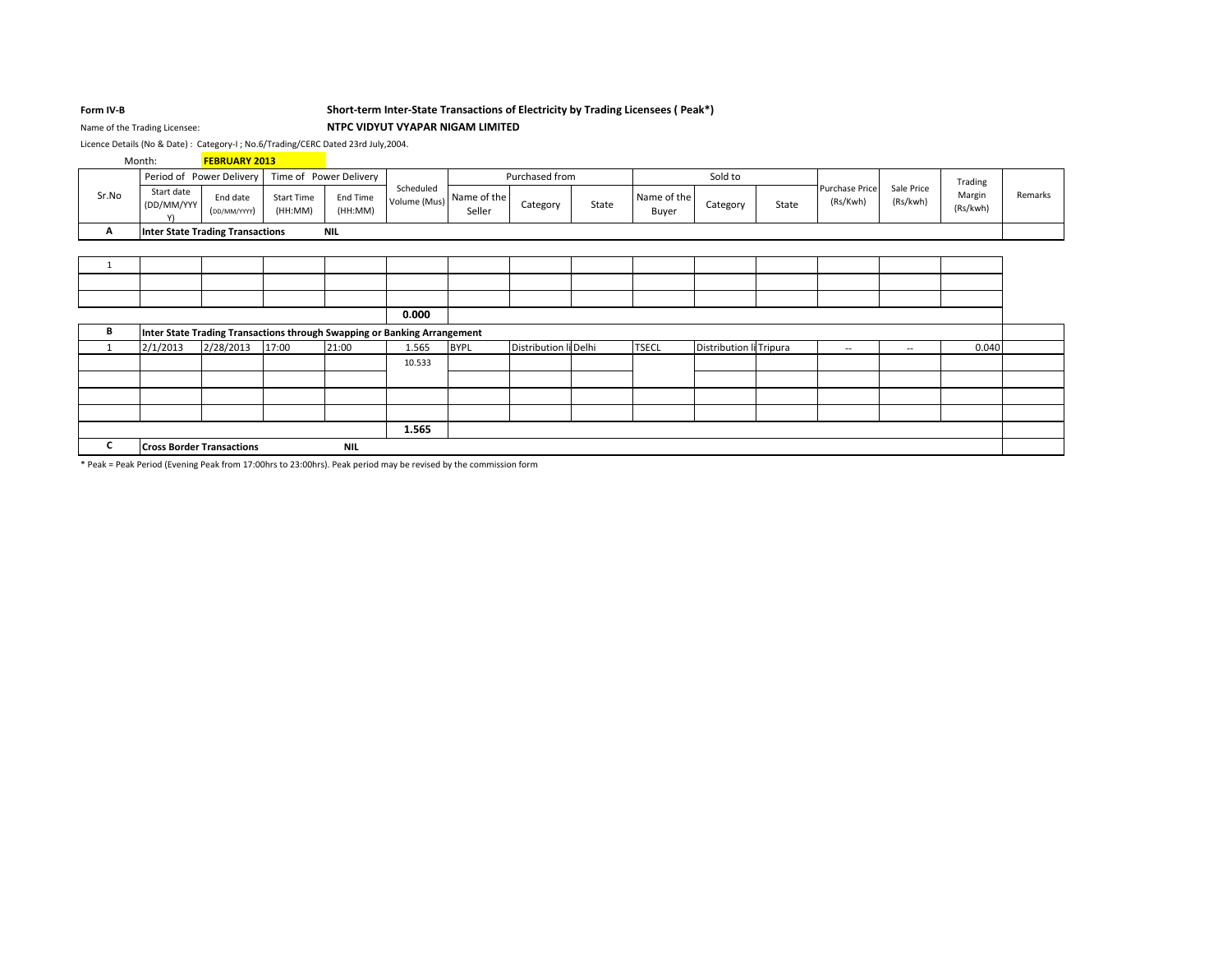### Form IV-B

Name of the Trading Licensee:

## Short-term Inter-State Transactions of Electricity by Trading Licensees (Peak\*) NTPC VIDYUT VYAPAR NIGAM LIMITED

Licence Details (No & Date): Category-I; No.6/Trading/CERC Dated 23rd July,2004.

|       | Month:                                  | <b>FEBRUARY 2013</b>                                                     |                              |                     |                           |                       |                       |       |                      |                         |       |                            |                        |                    |         |
|-------|-----------------------------------------|--------------------------------------------------------------------------|------------------------------|---------------------|---------------------------|-----------------------|-----------------------|-------|----------------------|-------------------------|-------|----------------------------|------------------------|--------------------|---------|
|       |                                         | Period of Power Delivery                                                 | Time of Power Delivery       |                     |                           |                       | Purchased from        |       |                      | Sold to                 |       |                            |                        | Trading            |         |
| Sr.No | Start date<br>(DD/MM/YYY<br>Y١          | End date<br>(DD/MM/YYYY)                                                 | <b>Start Time</b><br>(HH:MM) | End Time<br>(HH:MM) | Scheduled<br>Volume (Mus) | Name of the<br>Seller | Category              | State | Name of the<br>Buyer | Category                | State | Purchase Price<br>(Rs/Kwh) | Sale Price<br>(Rs/kwh) | Margin<br>(Rs/kwh) | Remarks |
| A     |                                         | <b>Inter State Trading Transactions</b>                                  |                              | <b>NIL</b>          |                           |                       |                       |       |                      |                         |       |                            |                        |                    |         |
|       |                                         |                                                                          |                              |                     |                           |                       |                       |       |                      |                         |       |                            |                        |                    |         |
| -1    |                                         |                                                                          |                              |                     |                           |                       |                       |       |                      |                         |       |                            |                        |                    |         |
|       |                                         |                                                                          |                              |                     |                           |                       |                       |       |                      |                         |       |                            |                        |                    |         |
|       |                                         |                                                                          |                              |                     |                           |                       |                       |       |                      |                         |       |                            |                        |                    |         |
|       |                                         |                                                                          |                              |                     | 0.000                     |                       |                       |       |                      |                         |       |                            |                        |                    |         |
| В     |                                         | Inter State Trading Transactions through Swapping or Banking Arrangement |                              |                     |                           |                       |                       |       |                      |                         |       |                            |                        |                    |         |
|       | 2/1/2013                                | 2/28/2013                                                                | 17:00                        | 21:00               | 1.565                     | <b>BYPL</b>           | Distribution li Delhi |       | <b>TSECL</b>         | Distribution li Tripura |       | $\sim$                     | $\sim$                 | 0.040              |         |
|       |                                         |                                                                          |                              |                     | 10.533                    |                       |                       |       |                      |                         |       |                            |                        |                    |         |
|       |                                         |                                                                          |                              |                     |                           |                       |                       |       |                      |                         |       |                            |                        |                    |         |
|       |                                         |                                                                          |                              |                     |                           |                       |                       |       |                      |                         |       |                            |                        |                    |         |
|       |                                         |                                                                          |                              |                     |                           |                       |                       |       |                      |                         |       |                            |                        |                    |         |
|       |                                         |                                                                          |                              |                     | 1.565                     |                       |                       |       |                      |                         |       |                            |                        |                    |         |
| C     | <b>Cross Border Transactions</b><br>NIL |                                                                          |                              |                     |                           |                       |                       |       |                      |                         |       |                            |                        |                    |         |

\* Peak = Peak Period (Evening Peak from 17:00hrs to 23:00hrs). Peak period may be revised by the commission form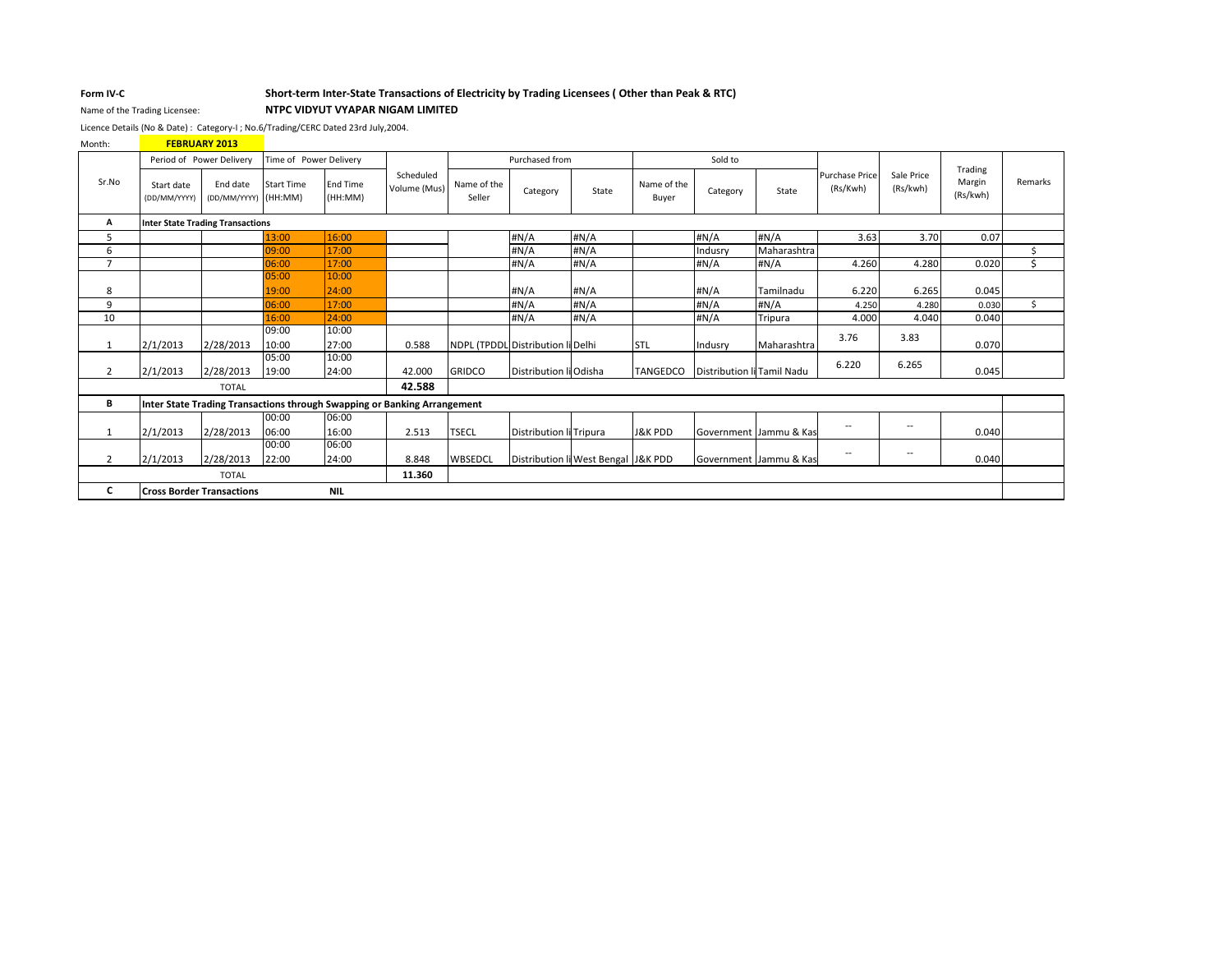### Form IV-C

# Short-term Inter-State Transactions of Electricity by Trading Licensees (Other than Peak & RTC)

### NTPC VIDYUT VYAPAR NIGAM LIMITED

Licence Details (No & Date) : Category-I ; No.6/Trading/CERC Dated 23rd July,2004.

FEBRUARY 2013 Month:

Name of the Trading Licensee:

|                |                                                | Period of Power Delivery                | Time of Power Delivery       |                                                                          |                           |                       | Purchased from                      |       |                      | Sold to                    |                        |                            |                        | Trading            |         |
|----------------|------------------------------------------------|-----------------------------------------|------------------------------|--------------------------------------------------------------------------|---------------------------|-----------------------|-------------------------------------|-------|----------------------|----------------------------|------------------------|----------------------------|------------------------|--------------------|---------|
| Sr.No          | Start date<br>(DD/MM/YYYY)                     | End date<br>(DD/MM/YYYY)                | <b>Start Time</b><br>(HH:MM) | <b>Fnd Time</b><br>(HH:MM)                                               | Scheduled<br>Volume (Mus) | Name of the<br>Seller | Category                            | State | Name of the<br>Buyer | Category                   | State                  | Purchase Price<br>(Rs/Kwh) | Sale Price<br>(Rs/kwh) | Margin<br>(Rs/kwh) | Remarks |
| A              |                                                | <b>Inter State Trading Transactions</b> |                              |                                                                          |                           |                       |                                     |       |                      |                            |                        |                            |                        |                    |         |
| 5              |                                                |                                         | 13:00                        | 16:00                                                                    |                           |                       | #N/A                                | #N/A  |                      | #N/A                       | #N/A                   | 3.63                       | 3.70                   | 0.07               |         |
| 6              |                                                |                                         | 09:00                        | 17:00                                                                    |                           |                       | #N/A                                | #N/A  |                      | Indusry                    | Maharashtra            |                            |                        |                    | Š.      |
| $\overline{7}$ |                                                |                                         | 06:00                        | 17:00                                                                    |                           |                       | #N/A                                | #N/A  |                      | #N/A                       | #N/A                   | 4.260                      | 4.280                  | 0.020              | Ś       |
|                |                                                |                                         | 05:00                        | 10:00                                                                    |                           |                       |                                     |       |                      |                            |                        |                            |                        |                    |         |
| 8              |                                                |                                         | 19:00                        | 24:00                                                                    |                           |                       | #N/A                                | #N/A  |                      | #N/A                       | Tamilnadu              | 6.220                      | 6.265                  | 0.045              |         |
| 9              |                                                |                                         | 06:00                        | 17:00                                                                    |                           |                       | #N/A                                | #N/A  |                      | #N/A                       | #N/A                   | 4.250                      | 4.280                  | 0.030              | Ś       |
| 10             |                                                |                                         | 16:00                        | 24:00                                                                    |                           |                       | #N/A                                | #N/A  |                      | #N/A                       | Tripura                | 4.000                      | 4.040                  | 0.040              |         |
|                | 2/1/2013                                       | 2/28/2013                               | 09:00<br>10:00               | 10:00<br>27:00                                                           | 0.588                     |                       | NDPL (TPDDL Distribution li Delhi   |       | STL                  | Indusry                    | Maharashtra            | 3.76                       | 3.83                   | 0.070              |         |
|                |                                                |                                         | 05:00                        | 10:00                                                                    |                           |                       |                                     |       |                      |                            |                        |                            |                        |                    |         |
| $\overline{2}$ | 2/1/2013                                       | 2/28/2013                               | 19:00                        | 24:00                                                                    | 42.000                    | <b>GRIDCO</b>         | Distribution li Odisha              |       | <b>TANGEDCO</b>      | Distribution li Tamil Nadu |                        | 6.220                      | 6.265                  | 0.045              |         |
|                |                                                | <b>TOTAL</b>                            |                              |                                                                          | 42.588                    |                       |                                     |       |                      |                            |                        |                            |                        |                    |         |
| В              |                                                |                                         |                              | Inter State Trading Transactions through Swapping or Banking Arrangement |                           |                       |                                     |       |                      |                            |                        |                            |                        |                    |         |
|                |                                                |                                         | 00:00                        | 06:00                                                                    |                           |                       |                                     |       |                      |                            |                        |                            |                        |                    |         |
|                | 2/1/2013                                       | 2/28/2013                               | 06:00                        | 16:00                                                                    | 2.513                     | <b>TSECL</b>          | Distribution li Tripura             |       | <b>J&amp;K PDD</b>   |                            | Government Jammu & Kas | $-$                        | --                     | 0.040              |         |
|                |                                                |                                         | 00:00                        | 06:00                                                                    |                           |                       |                                     |       |                      |                            |                        |                            |                        |                    |         |
| 2              | 2/1/2013                                       | 2/28/2013                               | 22:00                        | 24:00                                                                    | 8.848                     | WBSEDCL               | Distribution li West Bengal J&K PDD |       |                      |                            | Government Jammu & Kas | $\overline{\phantom{a}}$   | --                     | 0.040              |         |
|                | 11.360<br><b>TOTAL</b>                         |                                         |                              |                                                                          |                           |                       |                                     |       |                      |                            |                        |                            |                        |                    |         |
| C              | <b>NIL</b><br><b>Cross Border Transactions</b> |                                         |                              |                                                                          |                           |                       |                                     |       |                      |                            |                        |                            |                        |                    |         |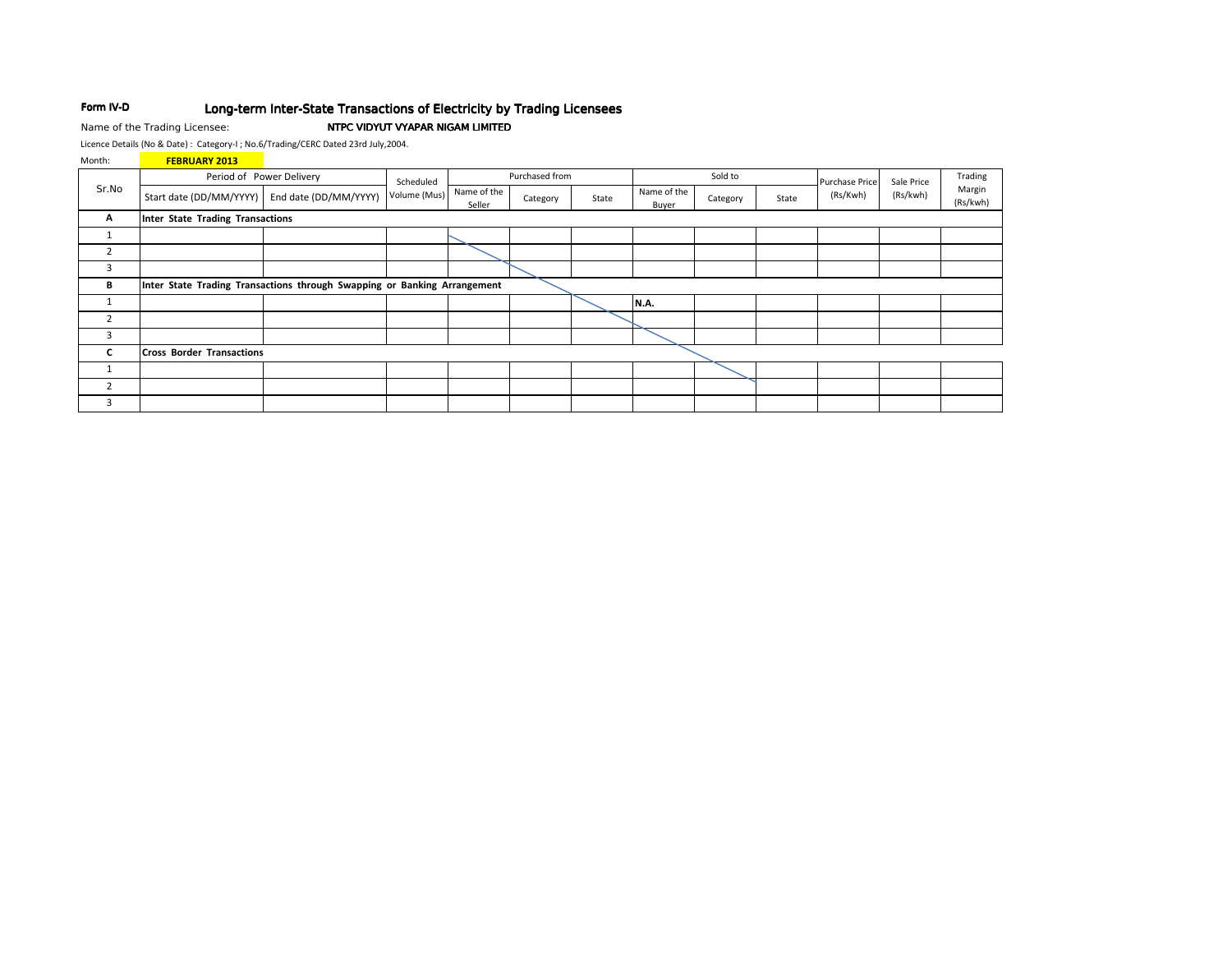#### Form IV-D Long-term Inter-State Transactions of Electricity by Trading Licensees

Name of the Trading Licensee:

## NTPC VIDYUT VYAPAR NIGAM LIMITED

Licence Details (No & Date): Category-I; No.6/Trading/CERC Dated 23rd July,2004.

| Month:         | <b>FEBRUARY 2013</b>                                                     |                          |              |                       |                |       |                      |          |       |                            |            |                    |
|----------------|--------------------------------------------------------------------------|--------------------------|--------------|-----------------------|----------------|-------|----------------------|----------|-------|----------------------------|------------|--------------------|
|                |                                                                          | Period of Power Delivery | Scheduled    |                       | Purchased from |       |                      | Sold to  |       |                            | Sale Price | Trading            |
| Sr.No          | Start date (DD/MM/YYYY)                                                  | End date (DD/MM/YYYY)    | Volume (Mus) | Name of the<br>Seller | Category       | State | Name of the<br>Buyer | Category | State | Purchase Price<br>(Rs/Kwh) | (Rs/kwh)   | Margin<br>(Rs/kwh) |
| A              | <b>Inter State Trading Transactions</b>                                  |                          |              |                       |                |       |                      |          |       |                            |            |                    |
| 1              |                                                                          |                          |              |                       |                |       |                      |          |       |                            |            |                    |
| $\overline{2}$ |                                                                          |                          |              |                       |                |       |                      |          |       |                            |            |                    |
| 3              |                                                                          |                          |              |                       |                |       |                      |          |       |                            |            |                    |
| В              | Inter State Trading Transactions through Swapping or Banking Arrangement |                          |              |                       |                |       |                      |          |       |                            |            |                    |
| 1              |                                                                          |                          |              |                       |                |       | <b>N.A.</b>          |          |       |                            |            |                    |
| $\overline{2}$ |                                                                          |                          |              |                       |                |       |                      |          |       |                            |            |                    |
| 3              |                                                                          |                          |              |                       |                |       |                      |          |       |                            |            |                    |
| C              | <b>Cross Border Transactions</b>                                         |                          |              |                       |                |       |                      |          |       |                            |            |                    |
| 1              |                                                                          |                          |              |                       |                |       |                      |          |       |                            |            |                    |
| $\overline{2}$ |                                                                          |                          |              |                       |                |       |                      |          |       |                            |            |                    |
| 3              |                                                                          |                          |              |                       |                |       |                      |          |       |                            |            |                    |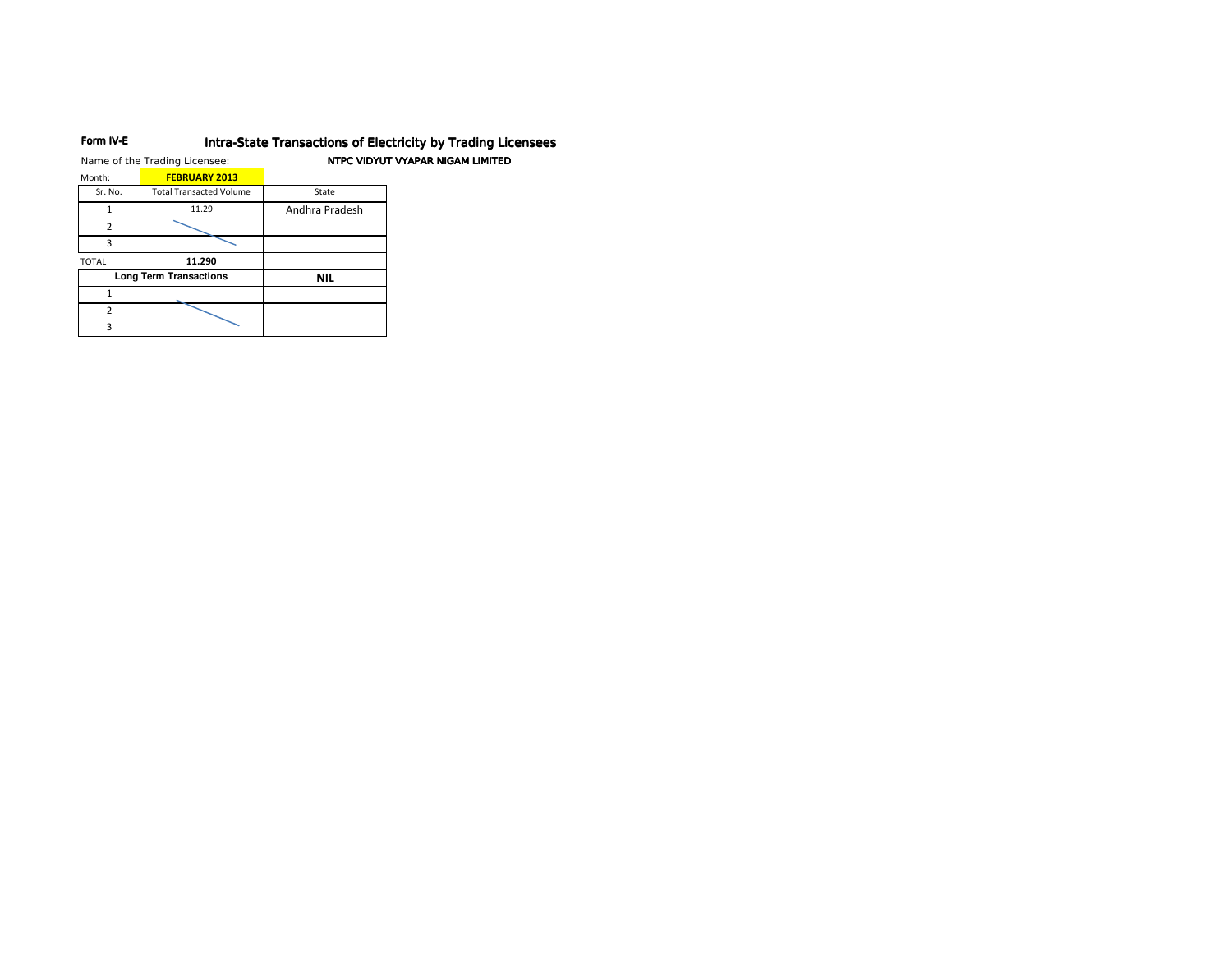#### Form IV-E Intra-State Transactions of Electricity by Trading Licensees

|              | Name of the Trading Licensee:  |                | NTPC VIDYUT VYAPAR NIGAM LIMITED |
|--------------|--------------------------------|----------------|----------------------------------|
| Month:       | <b>FEBRUARY 2013</b>           |                |                                  |
| Sr. No.      | <b>Total Transacted Volume</b> | State          |                                  |
|              | 11.29                          | Andhra Pradesh |                                  |
| 2            |                                |                |                                  |
| ς            |                                |                |                                  |
| <b>TOTAL</b> | 11.290                         |                |                                  |
|              | <b>Long Term Transactions</b>  | <b>NIL</b>     |                                  |
|              |                                |                |                                  |
| 2            |                                |                |                                  |
| ς            |                                |                |                                  |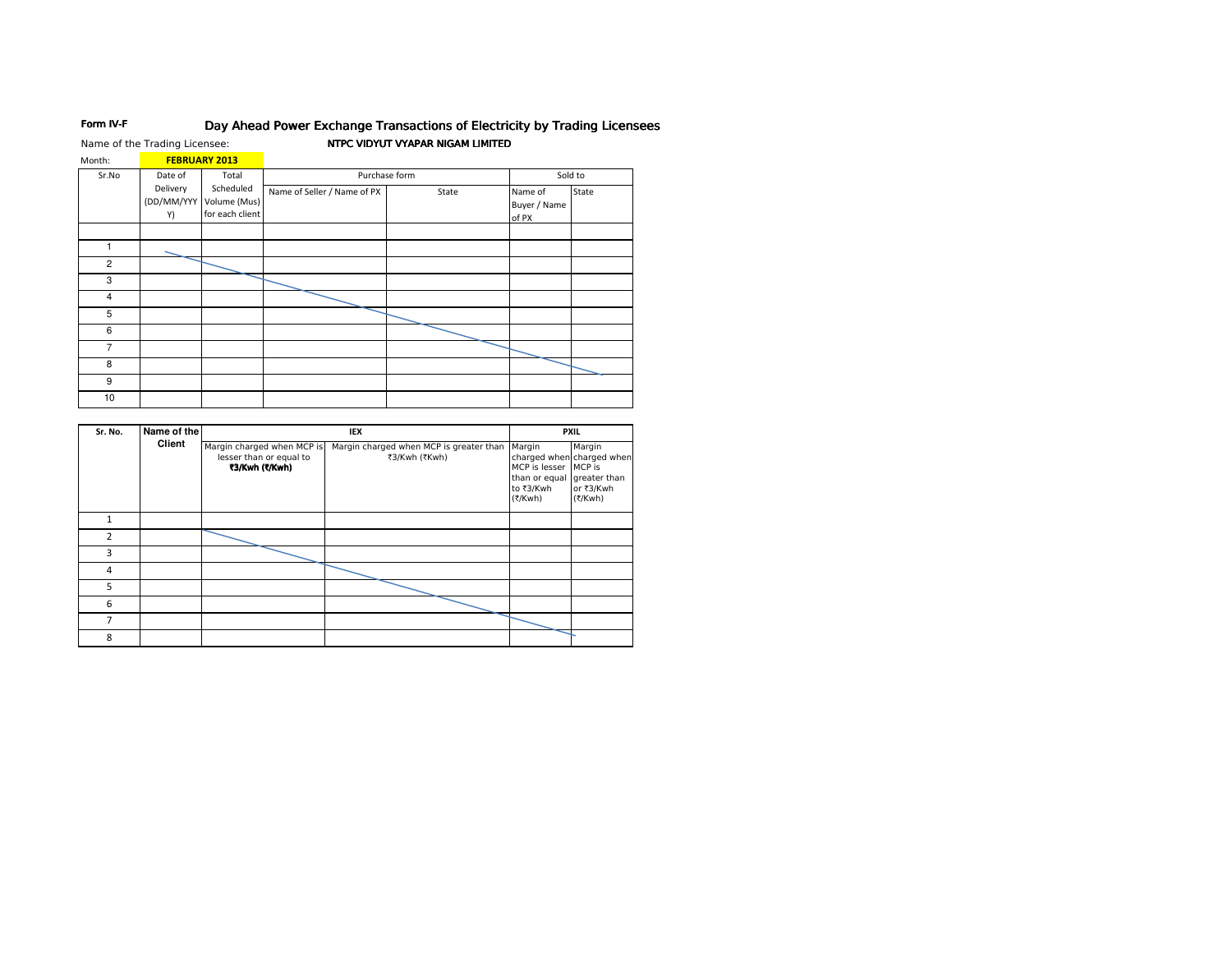#### Form IV-F Day Ahead Power Exchange Transactions of Electricity by Trading Licensees

Name of the Trading Licensee:

# NTPC VIDYUT VYAPAR NIGAM LIMITED

| Month:         |                              | <b>FEBRUARY 2013</b>                         |                             |               |                                  |         |
|----------------|------------------------------|----------------------------------------------|-----------------------------|---------------|----------------------------------|---------|
| Sr.No          | Date of                      | Total                                        |                             | Purchase form |                                  | Sold to |
|                | Delivery<br>(DD/MM/YYY<br>Y) | Scheduled<br>Volume (Mus)<br>for each client | Name of Seller / Name of PX | State         | Name of<br>Buyer / Name<br>of PX | State   |
| 1              |                              |                                              |                             |               |                                  |         |
| $\overline{c}$ |                              |                                              |                             |               |                                  |         |
| 3              |                              |                                              |                             |               |                                  |         |
| $\overline{4}$ |                              |                                              |                             |               |                                  |         |
| 5              |                              |                                              |                             |               |                                  |         |
| 6              |                              |                                              |                             |               |                                  |         |
| $\overline{7}$ |                              |                                              |                             |               |                                  |         |
| 8              |                              |                                              |                             |               |                                  |         |
| 9              |                              |                                              |                             |               |                                  |         |
| 10             |                              |                                              |                             |               |                                  |         |
|                |                              |                                              |                             |               |                                  |         |

| Sr. No.        | Name of the |                                                                         | IEX                                                      |                                                                  | <b>PXIL</b>                                                                           |  |  |
|----------------|-------------|-------------------------------------------------------------------------|----------------------------------------------------------|------------------------------------------------------------------|---------------------------------------------------------------------------------------|--|--|
|                | Client      | Margin charged when MCP is<br>lesser than or equal to<br>₹3/Kwh (₹/Kwh) | Margin charged when MCP is greater than<br>₹3/Kwh (₹Kwh) | Margin<br>MCP is lesser<br>than or equal<br>to ₹3/Kwh<br>(₹/Kwh) | Margin<br>charged when charged when<br>MCP is<br>greater than<br>or ₹3/Kwh<br>(₹/Kwh) |  |  |
| 1              |             |                                                                         |                                                          |                                                                  |                                                                                       |  |  |
| $\overline{2}$ |             |                                                                         |                                                          |                                                                  |                                                                                       |  |  |
| 3              |             |                                                                         |                                                          |                                                                  |                                                                                       |  |  |
| 4              |             |                                                                         |                                                          |                                                                  |                                                                                       |  |  |
| 5              |             |                                                                         |                                                          |                                                                  |                                                                                       |  |  |
| 6              |             |                                                                         |                                                          |                                                                  |                                                                                       |  |  |
| 7              |             |                                                                         |                                                          |                                                                  |                                                                                       |  |  |
| 8              |             |                                                                         |                                                          |                                                                  |                                                                                       |  |  |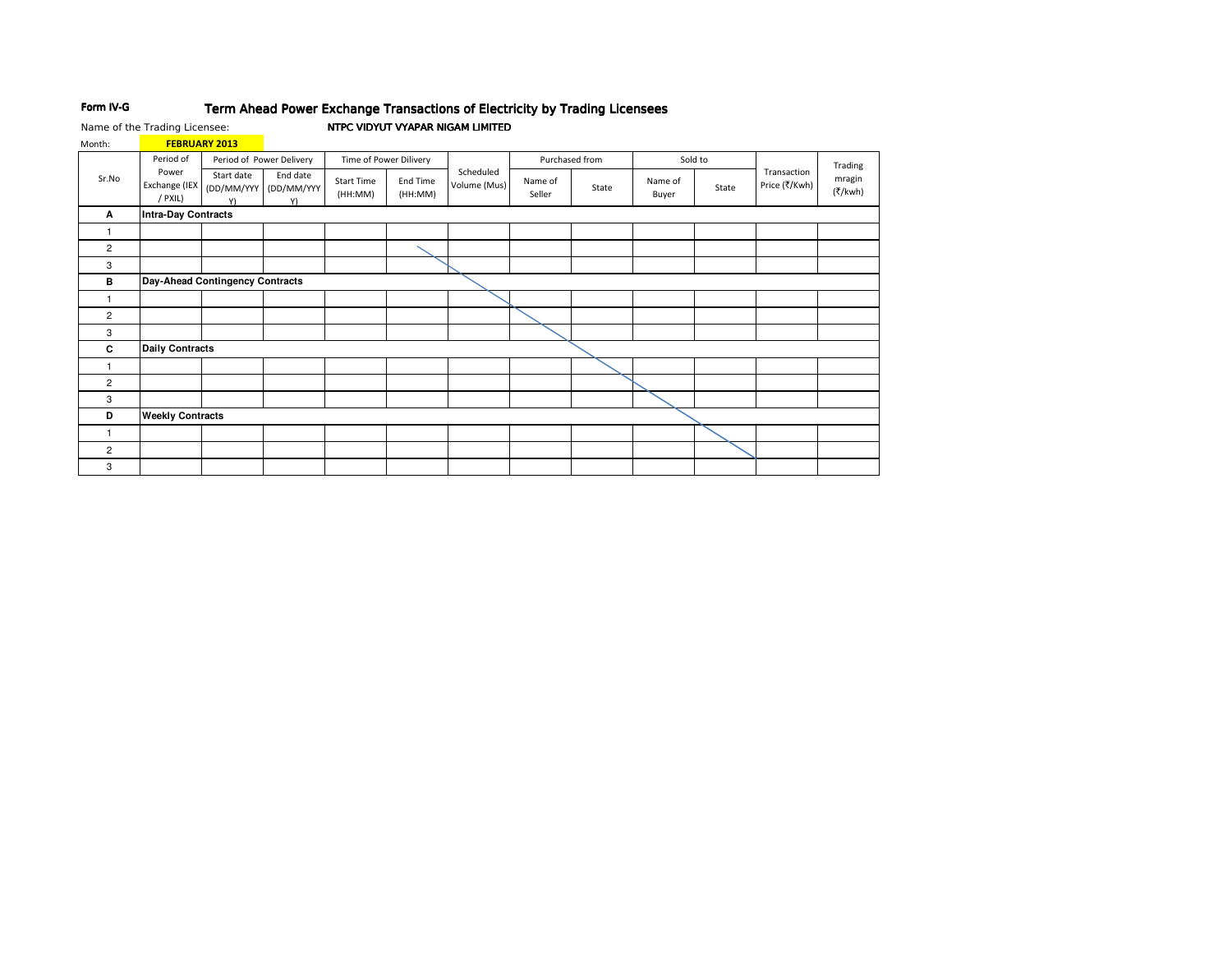#### Form IV-G Term Ahead Power Exchange Transactions of Electricity by Trading Licensees

Name of the Trading Licensee:

## NTPC VIDYUT VYAPAR NIGAM LIMITED

| Month: |                                   | <b>FEBRUARY 2013</b>            |                              |                              |                     |                           |                   |                |                  |       |                              |                   |
|--------|-----------------------------------|---------------------------------|------------------------------|------------------------------|---------------------|---------------------------|-------------------|----------------|------------------|-------|------------------------------|-------------------|
|        | Period of                         |                                 | Period of Power Delivery     | Time of Power Dilivery       |                     |                           |                   | Purchased from | Sold to          |       |                              | Trading           |
| Sr.No  | Power<br>Exchange (IEX<br>/ PXIL) | Start date<br>(DD/MM/YYY<br>Y)  | End date<br>(DD/MM/YYY<br>Y) | <b>Start Time</b><br>(HH:MM) | End Time<br>(HH:MM) | Scheduled<br>Volume (Mus) | Name of<br>Seller | State          | Name of<br>Buyer | State | Transaction<br>Price (₹/Kwh) | mragin<br>(₹/kwh) |
| А      | <b>Intra-Day Contracts</b>        |                                 |                              |                              |                     |                           |                   |                |                  |       |                              |                   |
|        |                                   |                                 |                              |                              |                     |                           |                   |                |                  |       |                              |                   |
| 2      |                                   |                                 |                              |                              |                     |                           |                   |                |                  |       |                              |                   |
| 3      |                                   |                                 |                              |                              |                     |                           |                   |                |                  |       |                              |                   |
| в      |                                   | Day-Ahead Contingency Contracts |                              |                              |                     |                           |                   |                |                  |       |                              |                   |
|        |                                   |                                 |                              |                              |                     |                           |                   |                |                  |       |                              |                   |
| 2      |                                   |                                 |                              |                              |                     |                           |                   |                |                  |       |                              |                   |
| 3      |                                   |                                 |                              |                              |                     |                           |                   |                |                  |       |                              |                   |
| C      | <b>Daily Contracts</b>            |                                 |                              |                              |                     |                           |                   |                |                  |       |                              |                   |
| 1      |                                   |                                 |                              |                              |                     |                           |                   |                |                  |       |                              |                   |
| 2      |                                   |                                 |                              |                              |                     |                           |                   |                |                  |       |                              |                   |
| 3      |                                   |                                 |                              |                              |                     |                           |                   |                |                  |       |                              |                   |
| D      |                                   | <b>Weekly Contracts</b>         |                              |                              |                     |                           |                   |                |                  |       |                              |                   |
|        |                                   |                                 |                              |                              |                     |                           |                   |                |                  |       |                              |                   |
| 2      |                                   |                                 |                              |                              |                     |                           |                   |                |                  |       |                              |                   |
| 3      |                                   |                                 |                              |                              |                     |                           |                   |                |                  |       |                              |                   |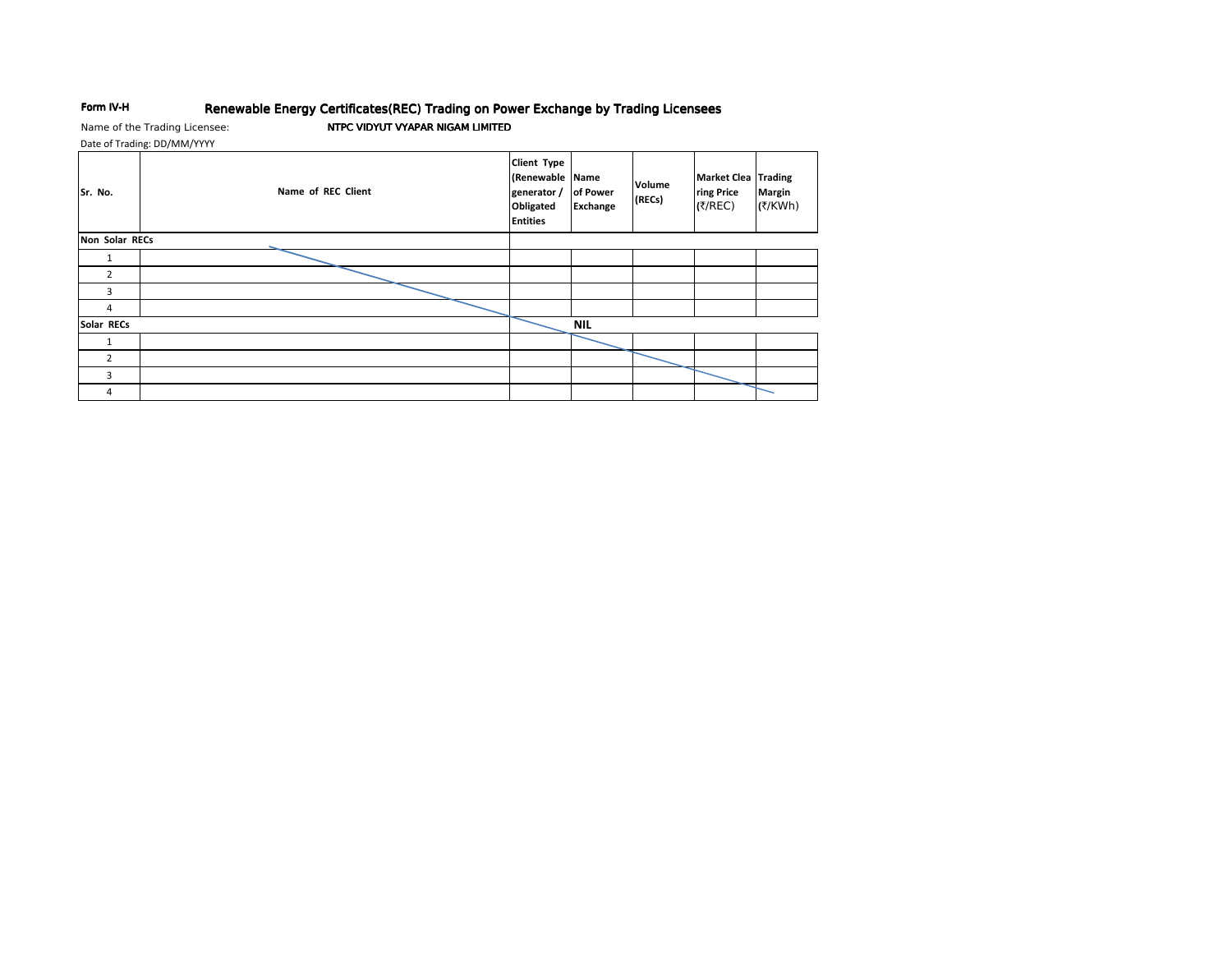#### Form IV-H Renewable Energy Certificates(REC) Trading on Power Exchange by Trading Licensees

Name of the Trading Licensee: Date of Trading: DD/MM/YYYY

# NTPC VIDYUT VYAPAR NIGAM LIMITED

Client Type (Renewable Name Market Clea Trading Volume Sr. No. Name of REC Client generator / of Power ring Price **Margin** (RECs) Obligated **Exchange** (₹/REC) (₹/KWh) **Entities** Non Solar RECs  $\mathbf{1}$  $\overline{2}$  $\overline{\mathbf{3}}$  $\overline{4}$ Solar RECs  $NIL$  $\mathbf{1}$  $\overline{2}$  $\overline{\mathbf{3}}$  $\overline{4}$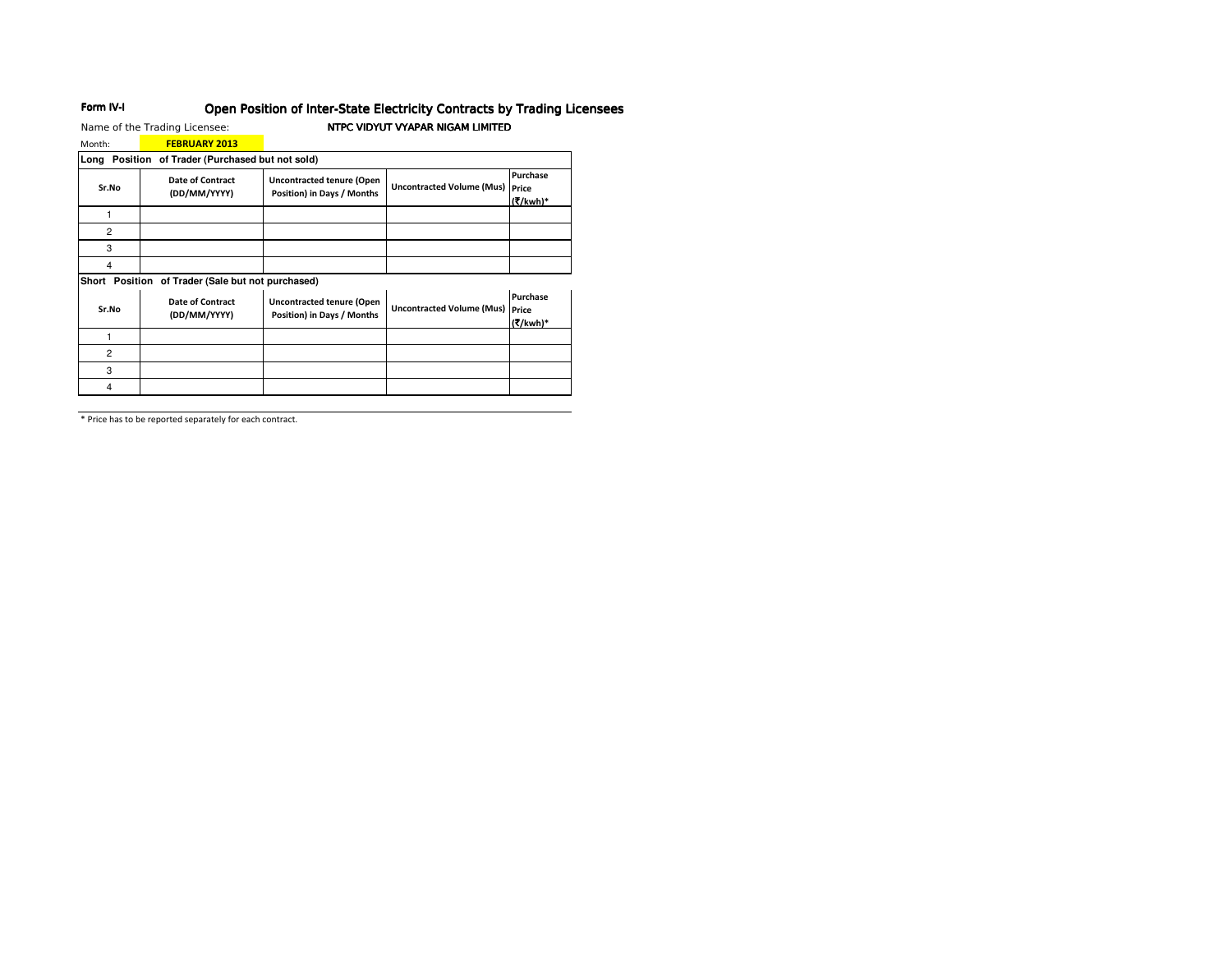# Open Position of Inter-State Electricity Contracts by Trading Licensees

Name of the Trading Licensee: Month:  $\overline{C}$  FFRRIIARY 2013

Form IV-I

## NTPC VIDYUT VYAPAR NIGAM LIMITED

| IVIOITUL.                                           | <u>FEDNUMNI ZUIJ</u>                    |                                                                |                                        |                      |  |  |  |
|-----------------------------------------------------|-----------------------------------------|----------------------------------------------------------------|----------------------------------------|----------------------|--|--|--|
| Long<br>Position of Trader (Purchased but not sold) |                                         |                                                                |                                        |                      |  |  |  |
| Sr.No                                               | <b>Date of Contract</b><br>(DD/MM/YYYY) | <b>Uncontracted tenure (Open</b><br>Position) in Days / Months | <b>Uncontracted Volume (Mus) Price</b> | Purchase<br>(₹/kwh)* |  |  |  |
|                                                     |                                         |                                                                |                                        |                      |  |  |  |
| $\overline{2}$                                      |                                         |                                                                |                                        |                      |  |  |  |
| 3                                                   |                                         |                                                                |                                        |                      |  |  |  |
| 4                                                   |                                         |                                                                |                                        |                      |  |  |  |
|                                                     |                                         |                                                                |                                        |                      |  |  |  |

Short Position of Trader (Sale but not purchased)

| Sr.No | <b>Date of Contract</b><br>(DD/MM/YYYY) | <b>Uncontracted tenure (Open</b><br>Position) in Days / Months | <b>Uncontracted Volume (Mus) Price</b> | Purchase<br>(₹/kwh)* |
|-------|-----------------------------------------|----------------------------------------------------------------|----------------------------------------|----------------------|
|       |                                         |                                                                |                                        |                      |
| 2     |                                         |                                                                |                                        |                      |
| 3     |                                         |                                                                |                                        |                      |
|       |                                         |                                                                |                                        |                      |

\* Price has to be reported separately for each contract.